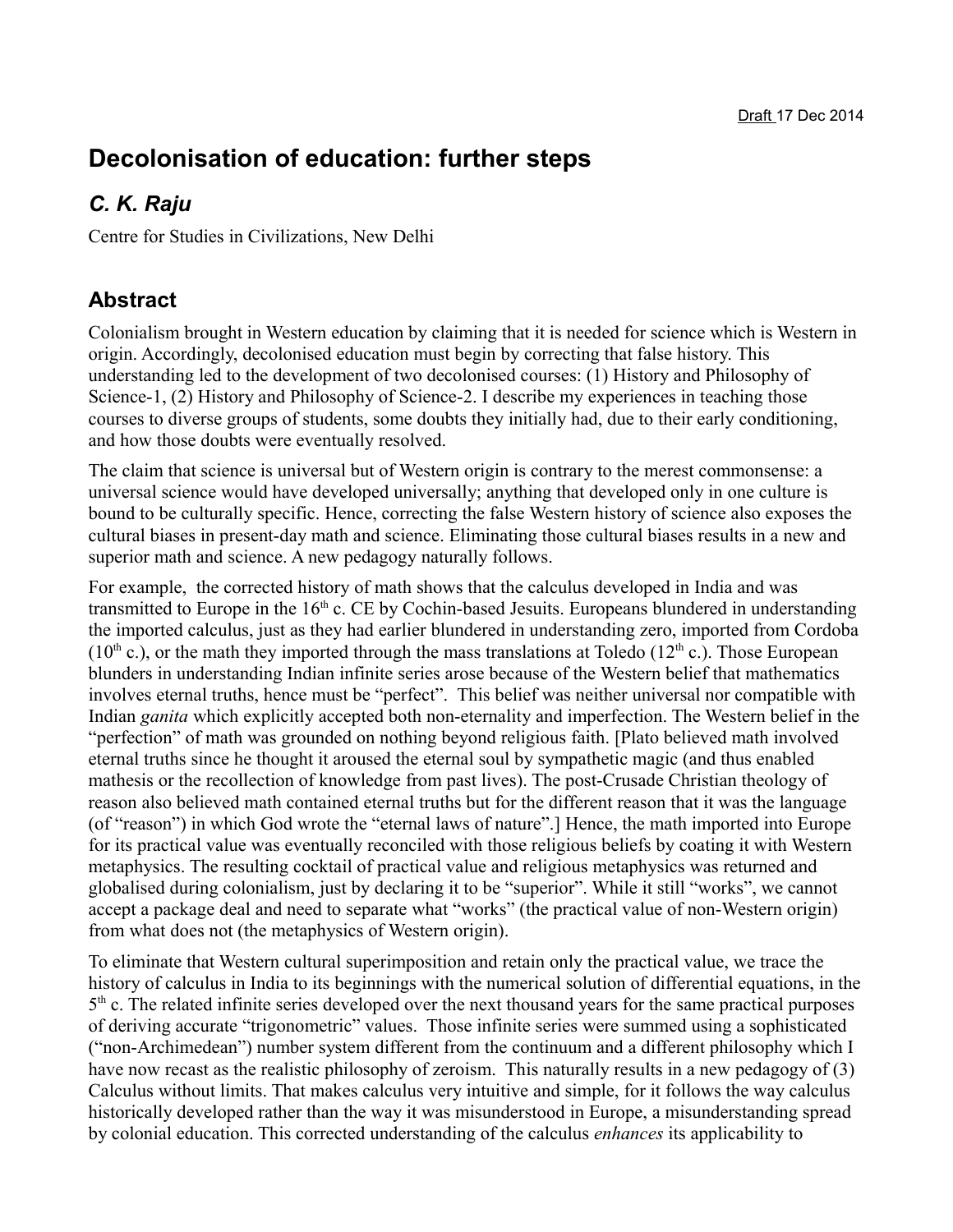# **Decolonisation of education: further steps**

## *C. K. Raju*

Centre for Studies in Civilizations, New Delhi

#### **Abstract**

Colonialism brought in Western education by claiming that it is needed for science which is Western in origin. Accordingly, decolonised education must begin by correcting that false history. This understanding led to the development of two decolonised courses: (1) History and Philosophy of Science-1, (2) History and Philosophy of Science-2. I describe my experiences in teaching those courses to diverse groups of students, some doubts they initially had, due to their early conditioning, and how those doubts were eventually resolved.

The claim that science is universal but of Western origin is contrary to the merest commonsense: a universal science would have developed universally; anything that developed only in one culture is bound to be culturally specific. Hence, correcting the false Western history of science also exposes the cultural biases in present-day math and science. Eliminating those cultural biases results in a new and superior math and science. A new pedagogy naturally follows.

For example, the corrected history of math shows that the calculus developed in India and was transmitted to Europe in the  $16<sup>th</sup>$  c. CE by Cochin-based Jesuits. Europeans blundered in understanding the imported calculus, just as they had earlier blundered in understanding zero, imported from Cordoba (10<sup>th</sup> c.), or the math they imported through the mass translations at Toledo (12<sup>th</sup> c.). Those European blunders in understanding Indian infinite series arose because of the Western belief that mathematics involves eternal truths, hence must be "perfect". This belief was neither universal nor compatible with Indian *ganita* which explicitly accepted both non-eternality and imperfection. The Western belief in the "perfection" of math was grounded on nothing beyond religious faith. [Plato believed math involved eternal truths since he thought it aroused the eternal soul by sympathetic magic (and thus enabled mathesis or the recollection of knowledge from past lives). The post-Crusade Christian theology of reason also believed math contained eternal truths but for the different reason that it was the language (of "reason") in which God wrote the "eternal laws of nature".] Hence, the math imported into Europe for its practical value was eventually reconciled with those religious beliefs by coating it with Western metaphysics. The resulting cocktail of practical value and religious metaphysics was returned and globalised during colonialism, just by declaring it to be "superior". While it still "works", we cannot accept a package deal and need to separate what "works" (the practical value of non-Western origin) from what does not (the metaphysics of Western origin).

To eliminate that Western cultural superimposition and retain only the practical value, we trace the history of calculus in India to its beginnings with the numerical solution of differential equations, in the 5<sup>th</sup> c. The related infinite series developed over the next thousand years for the same practical purposes of deriving accurate "trigonometric" values. Those infinite series were summed using a sophisticated ("non-Archimedean") number system different from the continuum and a different philosophy which I have now recast as the realistic philosophy of zeroism. This naturally results in a new pedagogy of (3) Calculus without limits. That makes calculus very intuitive and simple, for it follows the way calculus historically developed rather than the way it was misunderstood in Europe, a misunderstanding spread by colonial education. This corrected understanding of the calculus *enhances* its applicability to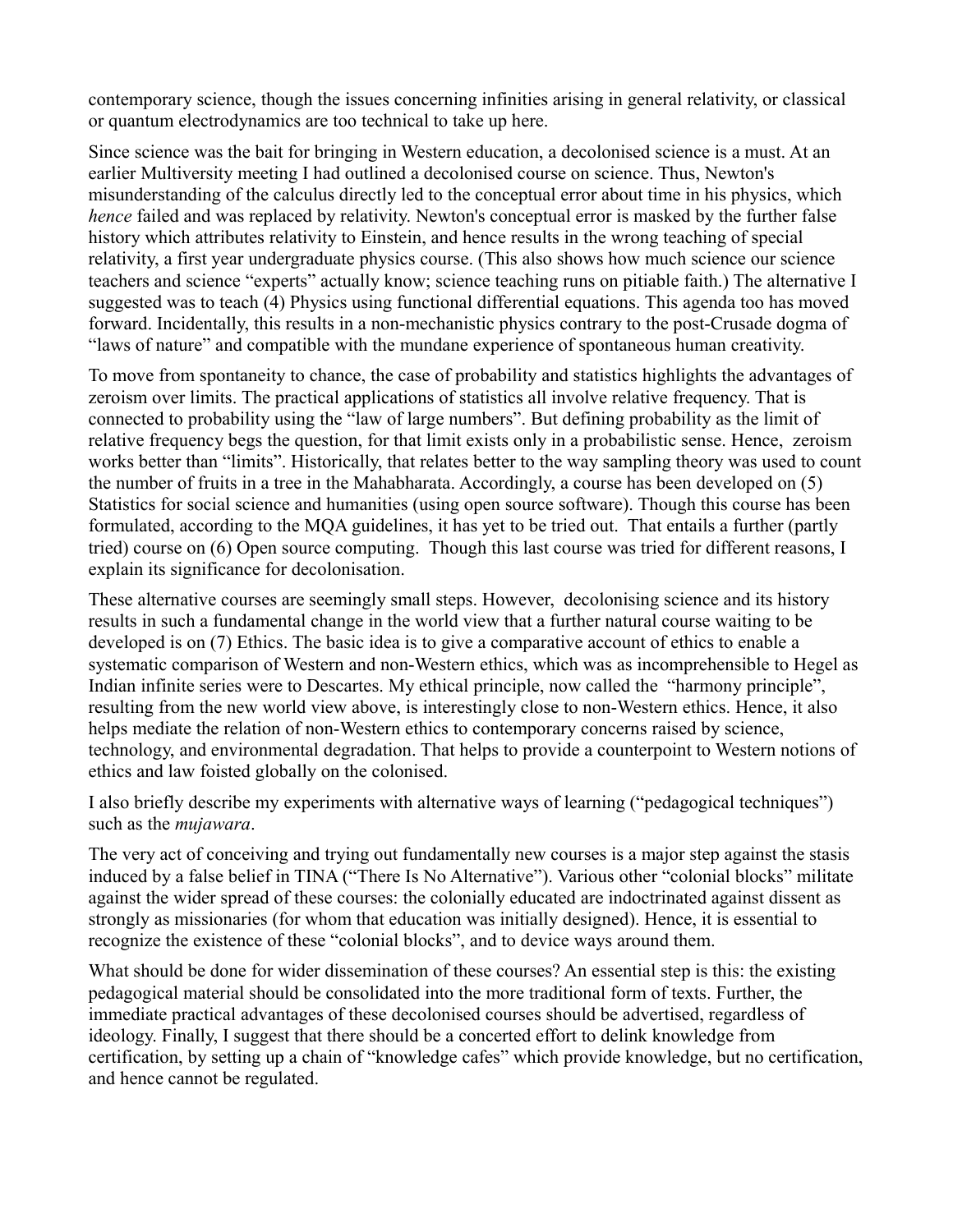contemporary science, though the issues concerning infinities arising in general relativity, or classical or quantum electrodynamics are too technical to take up here.

Since science was the bait for bringing in Western education, a decolonised science is a must. At an earlier Multiversity meeting I had outlined a decolonised course on science. Thus, Newton's misunderstanding of the calculus directly led to the conceptual error about time in his physics, which *hence* failed and was replaced by relativity. Newton's conceptual error is masked by the further false history which attributes relativity to Einstein, and hence results in the wrong teaching of special relativity, a first year undergraduate physics course. (This also shows how much science our science teachers and science "experts" actually know; science teaching runs on pitiable faith.) The alternative I suggested was to teach (4) Physics using functional differential equations. This agenda too has moved forward. Incidentally, this results in a non-mechanistic physics contrary to the post-Crusade dogma of "laws of nature" and compatible with the mundane experience of spontaneous human creativity.

To move from spontaneity to chance, the case of probability and statistics highlights the advantages of zeroism over limits. The practical applications of statistics all involve relative frequency. That is connected to probability using the "law of large numbers". But defining probability as the limit of relative frequency begs the question, for that limit exists only in a probabilistic sense. Hence, zeroism works better than "limits". Historically, that relates better to the way sampling theory was used to count the number of fruits in a tree in the Mahabharata. Accordingly, a course has been developed on (5) Statistics for social science and humanities (using open source software). Though this course has been formulated, according to the MQA guidelines, it has yet to be tried out. That entails a further (partly tried) course on (6) Open source computing. Though this last course was tried for different reasons, I explain its significance for decolonisation.

These alternative courses are seemingly small steps. However, decolonising science and its history results in such a fundamental change in the world view that a further natural course waiting to be developed is on (7) Ethics. The basic idea is to give a comparative account of ethics to enable a systematic comparison of Western and non-Western ethics, which was as incomprehensible to Hegel as Indian infinite series were to Descartes. My ethical principle, now called the "harmony principle", resulting from the new world view above, is interestingly close to non-Western ethics. Hence, it also helps mediate the relation of non-Western ethics to contemporary concerns raised by science, technology, and environmental degradation. That helps to provide a counterpoint to Western notions of ethics and law foisted globally on the colonised.

I also briefly describe my experiments with alternative ways of learning ("pedagogical techniques") such as the *mujawara*.

The very act of conceiving and trying out fundamentally new courses is a major step against the stasis induced by a false belief in TINA ("There Is No Alternative"). Various other "colonial blocks" militate against the wider spread of these courses: the colonially educated are indoctrinated against dissent as strongly as missionaries (for whom that education was initially designed). Hence, it is essential to recognize the existence of these "colonial blocks", and to device ways around them.

What should be done for wider dissemination of these courses? An essential step is this: the existing pedagogical material should be consolidated into the more traditional form of texts. Further, the immediate practical advantages of these decolonised courses should be advertised, regardless of ideology. Finally, I suggest that there should be a concerted effort to delink knowledge from certification, by setting up a chain of "knowledge cafes" which provide knowledge, but no certification, and hence cannot be regulated.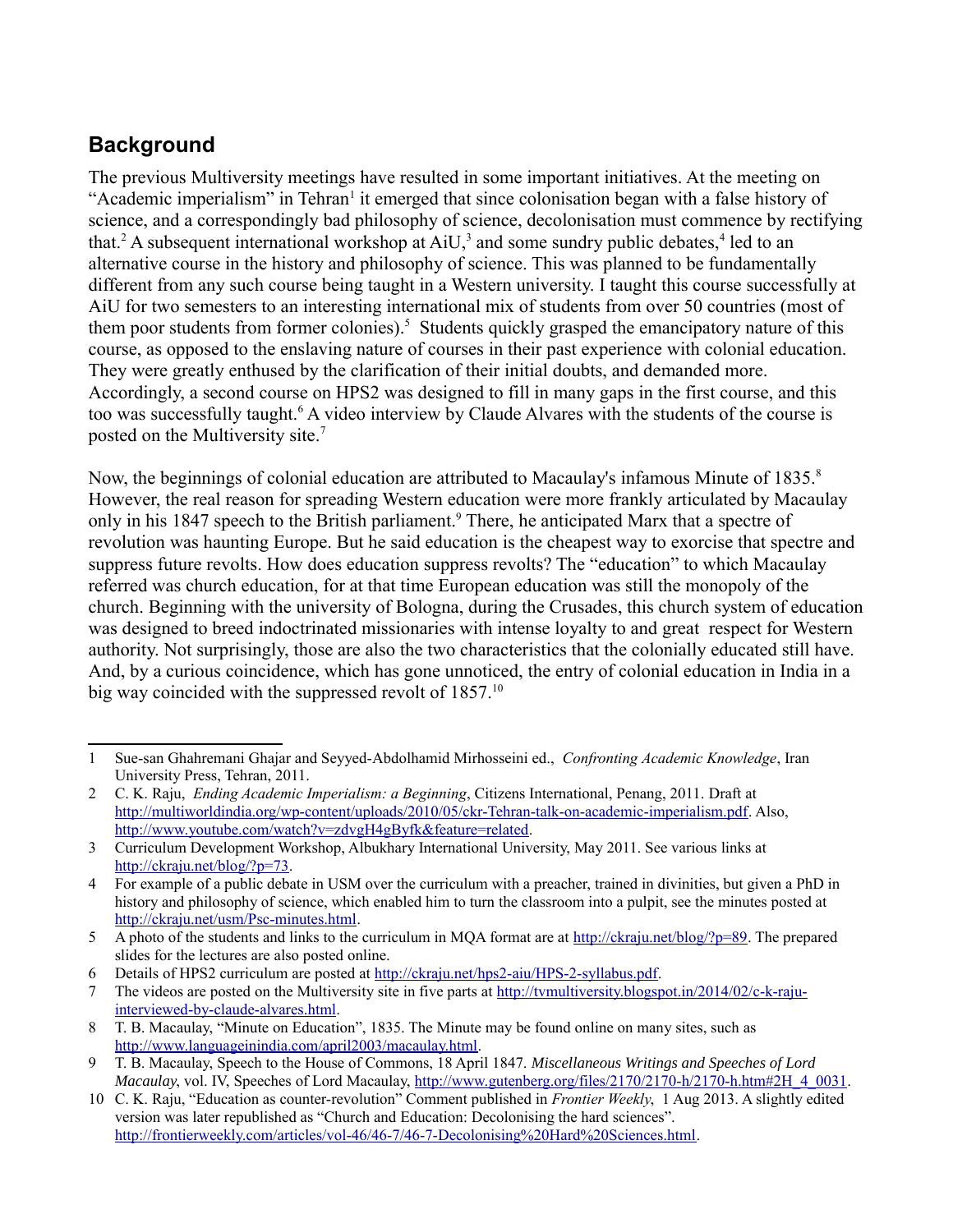### **Background**

The previous Multiversity meetings have resulted in some important initiatives. At the meeting on "Academic imperialism" in Tehran<sup>[1](#page-2-0)</sup> it emerged that since colonisation began with a false history of science, and a correspondingly bad philosophy of science, decolonisation must commence by rectifying that.<sup>[2](#page-2-1)</sup> A subsequent international workshop at  $AiU$ ,<sup>[3](#page-2-2)</sup> and some sundry public debates,<sup>[4](#page-2-3)</sup> led to an alternative course in the history and philosophy of science. This was planned to be fundamentally different from any such course being taught in a Western university. I taught this course successfully at AiU for two semesters to an interesting international mix of students from over 50 countries (most of them poor students from former colonies).<sup>[5](#page-2-4)</sup> Students quickly grasped the emancipatory nature of this course, as opposed to the enslaving nature of courses in their past experience with colonial education. They were greatly enthused by the clarification of their initial doubts, and demanded more. Accordingly, a second course on HPS2 was designed to fill in many gaps in the first course, and this too was successfully taught.<sup>[6](#page-2-5)</sup> A video interview by Claude Alvares with the students of the course is posted on the Multiversity site.<sup>[7](#page-2-6)</sup>

Now, the beginnings of colonial education are attributed to Macaulay's infamous Minute of 1[8](#page-2-7)35.<sup>8</sup> However, the real reason for spreading Western education were more frankly articulated by Macaulay only in his 1847 speech to the British parliament.<sup>[9](#page-2-8)</sup> There, he anticipated Marx that a spectre of revolution was haunting Europe. But he said education is the cheapest way to exorcise that spectre and suppress future revolts. How does education suppress revolts? The "education" to which Macaulay referred was church education, for at that time European education was still the monopoly of the church. Beginning with the university of Bologna, during the Crusades, this church system of education was designed to breed indoctrinated missionaries with intense loyalty to and great respect for Western authority. Not surprisingly, those are also the two characteristics that the colonially educated still have. And, by a curious coincidence, which has gone unnoticed, the entry of colonial education in India in a big way coincided with the suppressed revolt of 1857.<sup>[10](#page-2-9)</sup>

<span id="page-2-0"></span><sup>1</sup> Sue-san Ghahremani Ghajar and Seyyed-Abdolhamid Mirhosseini ed., *Confronting Academic Knowledge*, Iran University Press, Tehran, 2011.

<span id="page-2-1"></span><sup>2</sup> C. K. Raju, *Ending Academic Imperialism: a Beginning*, Citizens International, Penang, 2011. Draft at [http://multiworldindia.org/wp-content/uploads/2010/05/ckr-Tehran-talk-on-academic-imperialism.pdf.](http://multiworldindia.org/wp-content/uploads/2010/05/ckr-Tehran-talk-on-academic-imperialism.pdf) Also, [http://www.youtube.com/watch?v=zdvgH4gByfk&feature=related.](http://www.youtube.com/watch?v=zdvgH4gByfk&feature=related)

<span id="page-2-2"></span><sup>3</sup> Curriculum Development Workshop, Albukhary International University, May 2011. See various links at [http://ckraju.net/blog/?p=73.](http://ckraju.net/blog/?p=73)

<span id="page-2-3"></span><sup>4</sup> For example of a public debate in USM over the curriculum with a preacher, trained in divinities, but given a PhD in history and philosophy of science, which enabled him to turn the classroom into a pulpit, see the minutes posted at [http://ckraju.net/usm/Psc-minutes.html.](http://ckraju.net/usm/Psc-minutes.html)

<span id="page-2-4"></span><sup>5</sup> A photo of the students and links to the curriculum in MQA format are at [http://ckraju.net/blog/?p=89.](http://ckraju.net/blog/?p=89) The prepared slides for the lectures are also posted online.

<span id="page-2-5"></span><sup>6</sup> Details of HPS2 curriculum are posted at [http://ckraju.net/hps2-aiu/HPS-2-syllabus.pdf.](http://ckraju.net/hps2-aiu/HPS-2-syllabus.pdf)

<span id="page-2-6"></span><sup>7</sup> The videos are posted on the Multiversity site in five parts at [http://tvmultiversity.blogspot.in/2014/02/c-k-raju](http://tvmultiversity.blogspot.in/2014/02/c-k-raju-interviewed-by-claude-alvares.html)[interviewed-by-claude-alvares.html.](http://tvmultiversity.blogspot.in/2014/02/c-k-raju-interviewed-by-claude-alvares.html)

<span id="page-2-7"></span><sup>8</sup> T. B. Macaulay, "Minute on Education", 1835. The Minute may be found online on many sites, such as [http://www.languageinindia.com/april2003/macaulay.html.](http://www.languageinindia.com/april2003/macaulay.html)

<span id="page-2-8"></span><sup>9</sup> T. B. Macaulay, Speech to the House of Commons, 18 April 1847. *Miscellaneous Writings and Speeches of Lord Macaulay*, vol. IV, Speeches of Lord Macaulay, http://www.gutenberg.org/files/2170/2170-h/2170-h.htm#2H 4\_0031.

<span id="page-2-9"></span><sup>10</sup> C. K. Raju, "Education as counter-revolution" Comment published in *Frontier Weekly*, 1 Aug 2013. A slightly edited version was later republished as "Church and Education: Decolonising the hard sciences". [http://frontierweekly.com/articles/vol-46/46-7/46-7-Decolonising%20Hard%20Sciences.html.](http://frontierweekly.com/articles/vol-46/46-7/46-7-Decolonising%20Hard%20Sciences.html)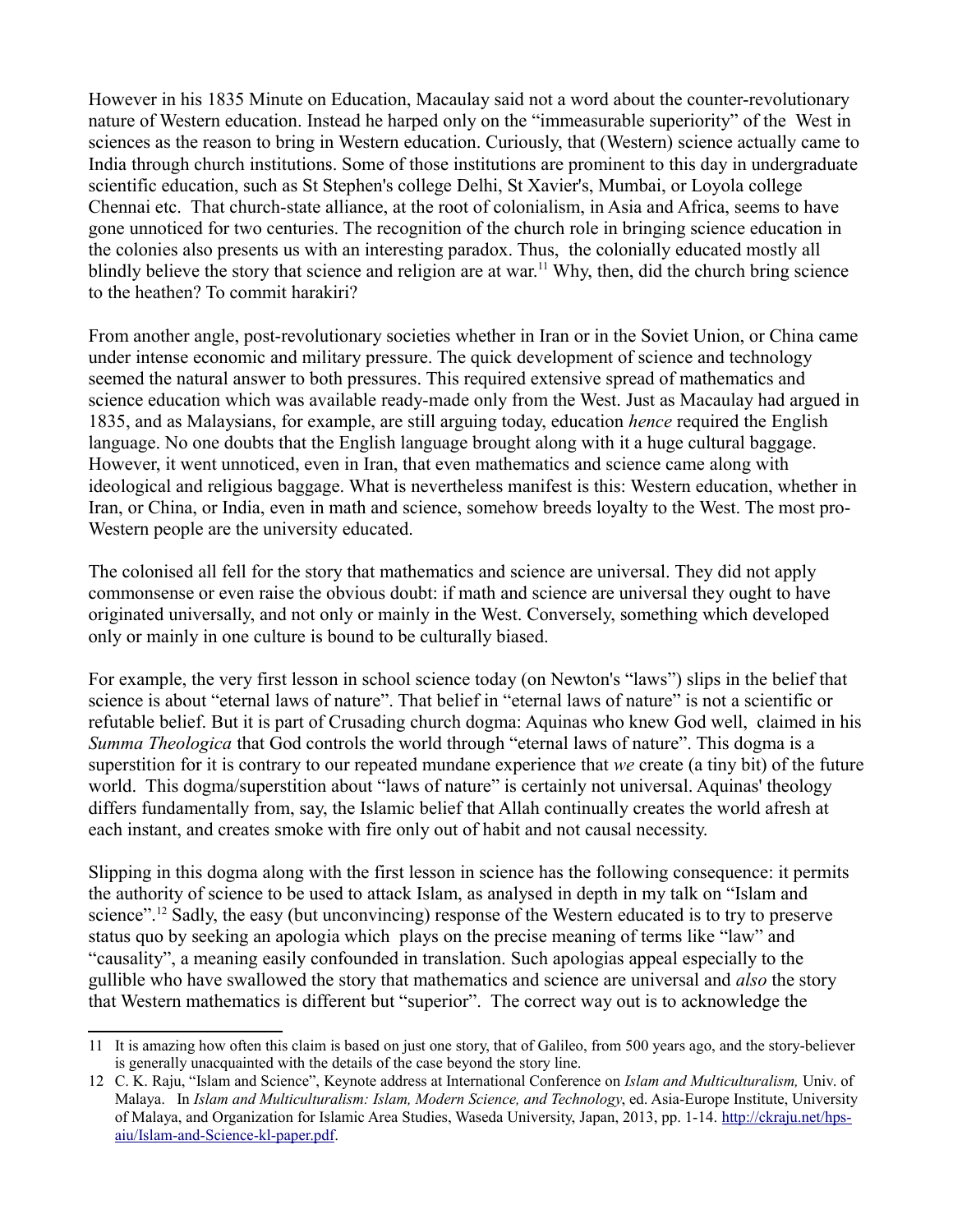However in his 1835 Minute on Education, Macaulay said not a word about the counter-revolutionary nature of Western education. Instead he harped only on the "immeasurable superiority" of the West in sciences as the reason to bring in Western education. Curiously, that (Western) science actually came to India through church institutions. Some of those institutions are prominent to this day in undergraduate scientific education, such as St Stephen's college Delhi, St Xavier's, Mumbai, or Loyola college Chennai etc. That church-state alliance, at the root of colonialism, in Asia and Africa, seems to have gone unnoticed for two centuries. The recognition of the church role in bringing science education in the colonies also presents us with an interesting paradox. Thus, the colonially educated mostly all blindly believe the story that science and religion are at war.<sup>[11](#page-3-0)</sup> Why, then, did the church bring science to the heathen? To commit harakiri?

From another angle, post-revolutionary societies whether in Iran or in the Soviet Union, or China came under intense economic and military pressure. The quick development of science and technology seemed the natural answer to both pressures. This required extensive spread of mathematics and science education which was available ready-made only from the West. Just as Macaulay had argued in 1835, and as Malaysians, for example, are still arguing today, education *hence* required the English language. No one doubts that the English language brought along with it a huge cultural baggage. However, it went unnoticed, even in Iran, that even mathematics and science came along with ideological and religious baggage. What is nevertheless manifest is this: Western education, whether in Iran, or China, or India, even in math and science, somehow breeds loyalty to the West. The most pro-Western people are the university educated.

The colonised all fell for the story that mathematics and science are universal. They did not apply commonsense or even raise the obvious doubt: if math and science are universal they ought to have originated universally, and not only or mainly in the West. Conversely, something which developed only or mainly in one culture is bound to be culturally biased.

For example, the very first lesson in school science today (on Newton's "laws") slips in the belief that science is about "eternal laws of nature". That belief in "eternal laws of nature" is not a scientific or refutable belief. But it is part of Crusading church dogma: Aquinas who knew God well, claimed in his *Summa Theologica* that God controls the world through "eternal laws of nature". This dogma is a superstition for it is contrary to our repeated mundane experience that *we* create (a tiny bit) of the future world. This dogma/superstition about "laws of nature" is certainly not universal. Aquinas' theology differs fundamentally from, say, the Islamic belief that Allah continually creates the world afresh at each instant, and creates smoke with fire only out of habit and not causal necessity.

Slipping in this dogma along with the first lesson in science has the following consequence: it permits the authority of science to be used to attack Islam, as analysed in depth in my talk on "Islam and science".<sup>[12](#page-3-1)</sup> Sadly, the easy (but unconvincing) response of the Western educated is to try to preserve status quo by seeking an apologia which plays on the precise meaning of terms like "law" and "causality", a meaning easily confounded in translation. Such apologias appeal especially to the gullible who have swallowed the story that mathematics and science are universal and *also* the story that Western mathematics is different but "superior". The correct way out is to acknowledge the

<span id="page-3-0"></span><sup>11</sup> It is amazing how often this claim is based on just one story, that of Galileo, from 500 years ago, and the story-believer is generally unacquainted with the details of the case beyond the story line.

<span id="page-3-1"></span><sup>12</sup> C. K. Raju, "Islam and Science", Keynote address at International Conference on *Islam and Multiculturalism,* Univ. of Malaya. In *Islam and Multiculturalism: Islam, Modern Science, and Technology*, ed. Asia-Europe Institute, University of Malava, and Organization for Islamic Area Studies, Waseda University, Japan, 2013, pp. 1-14. [http://ckraju.net/hps](http://ckraju.net/hps-aiu/Islam-and-Science-kl-paper.pdf)[aiu/Islam-and-Science-kl-paper.pdf.](http://ckraju.net/hps-aiu/Islam-and-Science-kl-paper.pdf)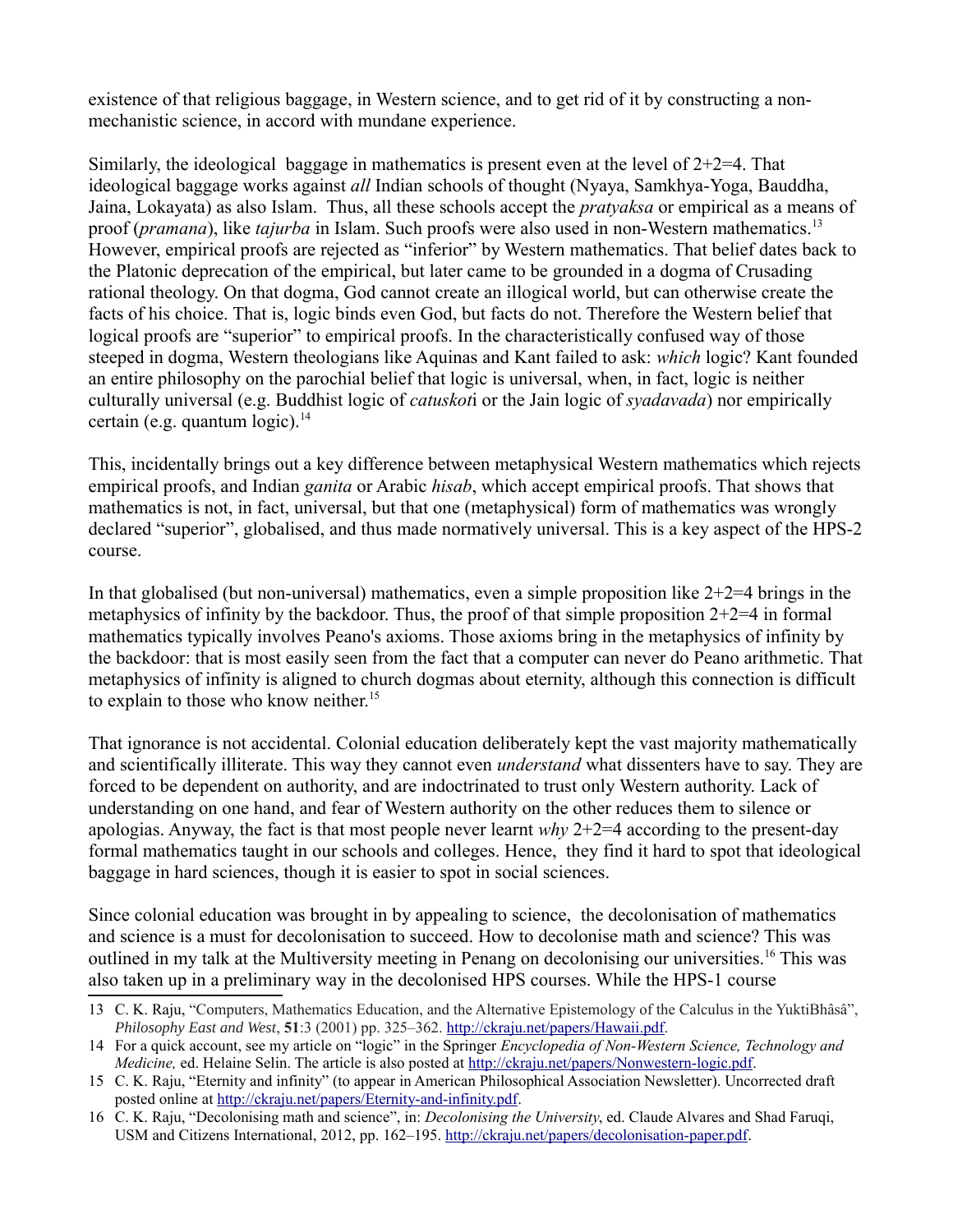existence of that religious baggage, in Western science, and to get rid of it by constructing a nonmechanistic science, in accord with mundane experience.

Similarly, the ideological baggage in mathematics is present even at the level of  $2+2=4$ . That ideological baggage works against *all* Indian schools of thought (Nyaya, Samkhya-Yoga, Bauddha, Jaina, Lokayata) as also Islam. Thus, all these schools accept the *pratyaksa* or empirical as a means of proof (*pramana*), like *tajurba* in Islam. Such proofs were also used in non-Western mathematics.[13](#page-4-0) However, empirical proofs are rejected as "inferior" by Western mathematics. That belief dates back to the Platonic deprecation of the empirical, but later came to be grounded in a dogma of Crusading rational theology. On that dogma, God cannot create an illogical world, but can otherwise create the facts of his choice. That is, logic binds even God, but facts do not. Therefore the Western belief that logical proofs are "superior" to empirical proofs. In the characteristically confused way of those steeped in dogma, Western theologians like Aquinas and Kant failed to ask: *which* logic? Kant founded an entire philosophy on the parochial belief that logic is universal, when, in fact, logic is neither culturally universal (e.g. Buddhist logic of *catuskot*i or the Jain logic of *syadavada*) nor empirically certain (e.g. quantum logic). $^{14}$  $^{14}$  $^{14}$ 

This, incidentally brings out a key difference between metaphysical Western mathematics which rejects empirical proofs, and Indian *ganita* or Arabic *hisab*, which accept empirical proofs. That shows that mathematics is not, in fact, universal, but that one (metaphysical) form of mathematics was wrongly declared "superior", globalised, and thus made normatively universal. This is a key aspect of the HPS-2 course.

In that globalised (but non-universal) mathematics, even a simple proposition like  $2+2=4$  brings in the metaphysics of infinity by the backdoor. Thus, the proof of that simple proposition  $2+2=4$  in formal mathematics typically involves Peano's axioms. Those axioms bring in the metaphysics of infinity by the backdoor: that is most easily seen from the fact that a computer can never do Peano arithmetic. That metaphysics of infinity is aligned to church dogmas about eternity, although this connection is difficult to explain to those who know neither.<sup>[15](#page-4-2)</sup>

That ignorance is not accidental. Colonial education deliberately kept the vast majority mathematically and scientifically illiterate. This way they cannot even *understand* what dissenters have to say. They are forced to be dependent on authority, and are indoctrinated to trust only Western authority. Lack of understanding on one hand, and fear of Western authority on the other reduces them to silence or apologias. Anyway, the fact is that most people never learnt *why* 2+2=4 according to the present-day formal mathematics taught in our schools and colleges. Hence, they find it hard to spot that ideological baggage in hard sciences, though it is easier to spot in social sciences.

Since colonial education was brought in by appealing to science, the decolonisation of mathematics and science is a must for decolonisation to succeed. How to decolonise math and science? This was outlined in my talk at the Multiversity meeting in Penang on decolonising our universities.<sup>[16](#page-4-3)</sup> This was also taken up in a preliminary way in the decolonised HPS courses. While the HPS-1 course

<span id="page-4-0"></span><sup>13</sup> C. K. Raju, "Computers, Mathematics Education, and the Alternative Epistemology of the Calculus in the YuktiBhâsâ", *Philosophy East and West*, **51**:3 (2001) pp. 325–362. [http://ckraju.net/papers/Hawaii.pdf.](http://ckraju.net/papers/Hawaii.pdf)

<span id="page-4-1"></span><sup>14</sup> For a quick account, see my article on "logic" in the Springer *Encyclopedia of Non-Western Science, Technology and Medicine,* ed. Helaine Selin. The article is also posted at [http://ckraju.net/papers/Nonwestern-logic.pdf.](http://ckraju.net/papers/Nonwestern-logic.pdf)

<span id="page-4-2"></span><sup>15</sup> C. K. Raju, "Eternity and infinity" (to appear in American Philosophical Association Newsletter). Uncorrected draft posted online at [http://ckraju.net/papers/Eternity-and-infinity.pdf.](http://ckraju.net/papers/Eternity-and-infinity.pdf)

<span id="page-4-3"></span><sup>16</sup> C. K. Raju, "Decolonising math and science", in: *Decolonising the University*, ed. Claude Alvares and Shad Faruqi, USM and Citizens International, 2012, pp. 162–195. [http://ckraju.net/papers/decolonisation-paper.pdf.](http://ckraju.net/papers/decolonisation-paper.pdf)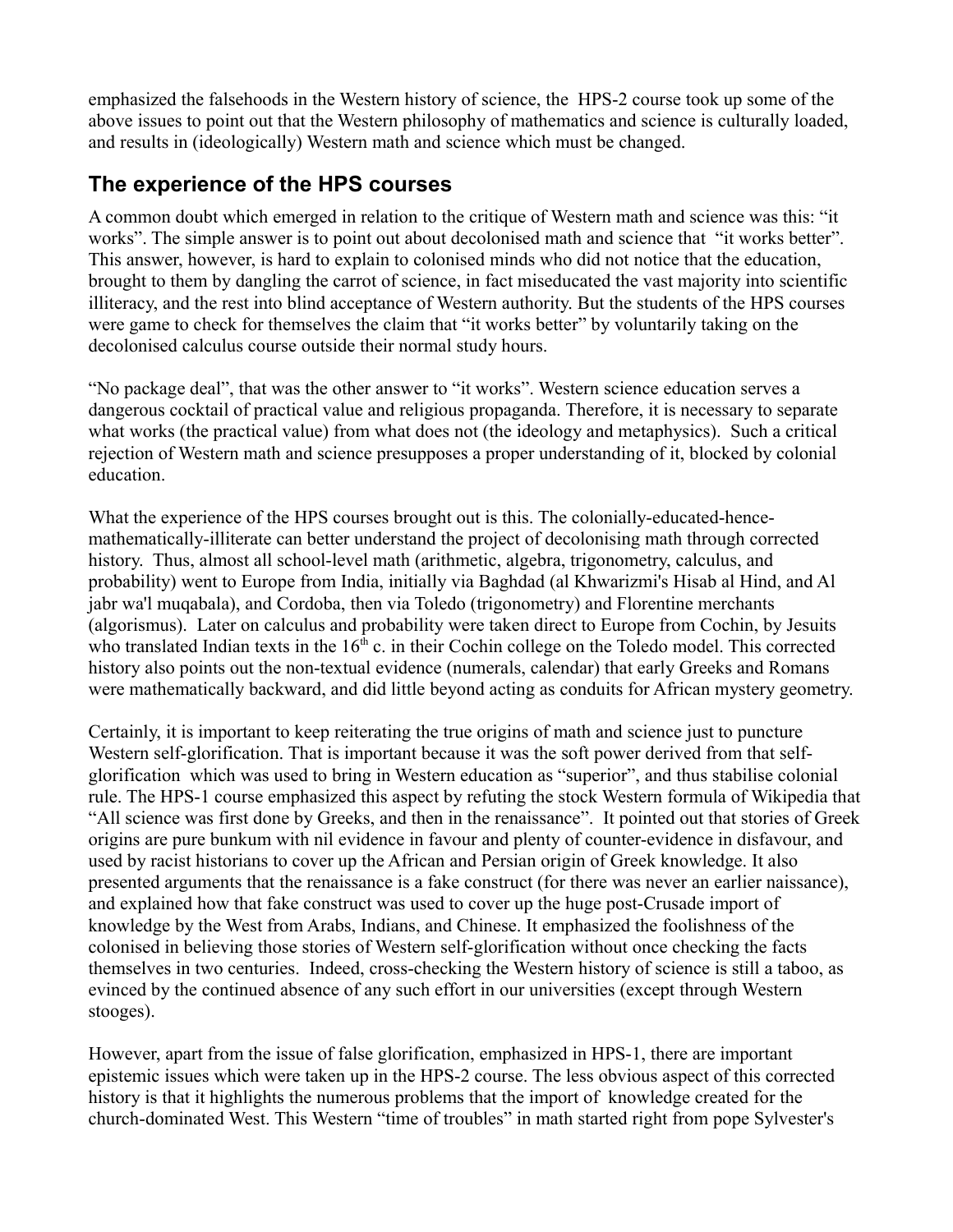emphasized the falsehoods in the Western history of science, the HPS-2 course took up some of the above issues to point out that the Western philosophy of mathematics and science is culturally loaded, and results in (ideologically) Western math and science which must be changed.

#### **The experience of the HPS courses**

A common doubt which emerged in relation to the critique of Western math and science was this: "it works". The simple answer is to point out about decolonised math and science that "it works better". This answer, however, is hard to explain to colonised minds who did not notice that the education, brought to them by dangling the carrot of science, in fact miseducated the vast majority into scientific illiteracy, and the rest into blind acceptance of Western authority. But the students of the HPS courses were game to check for themselves the claim that "it works better" by voluntarily taking on the decolonised calculus course outside their normal study hours.

"No package deal", that was the other answer to "it works". Western science education serves a dangerous cocktail of practical value and religious propaganda. Therefore, it is necessary to separate what works (the practical value) from what does not (the ideology and metaphysics). Such a critical rejection of Western math and science presupposes a proper understanding of it, blocked by colonial education.

What the experience of the HPS courses brought out is this. The colonially-educated-hencemathematically-illiterate can better understand the project of decolonising math through corrected history. Thus, almost all school-level math (arithmetic, algebra, trigonometry, calculus, and probability) went to Europe from India, initially via Baghdad (al Khwarizmi's Hisab al Hind, and Al jabr wa'l muqabala), and Cordoba, then via Toledo (trigonometry) and Florentine merchants (algorismus). Later on calculus and probability were taken direct to Europe from Cochin, by Jesuits who translated Indian texts in the 16<sup>th</sup> c. in their Cochin college on the Toledo model. This corrected history also points out the non-textual evidence (numerals, calendar) that early Greeks and Romans were mathematically backward, and did little beyond acting as conduits for African mystery geometry.

Certainly, it is important to keep reiterating the true origins of math and science just to puncture Western self-glorification. That is important because it was the soft power derived from that selfglorification which was used to bring in Western education as "superior", and thus stabilise colonial rule. The HPS-1 course emphasized this aspect by refuting the stock Western formula of Wikipedia that "All science was first done by Greeks, and then in the renaissance". It pointed out that stories of Greek origins are pure bunkum with nil evidence in favour and plenty of counter-evidence in disfavour, and used by racist historians to cover up the African and Persian origin of Greek knowledge. It also presented arguments that the renaissance is a fake construct (for there was never an earlier naissance), and explained how that fake construct was used to cover up the huge post-Crusade import of knowledge by the West from Arabs, Indians, and Chinese. It emphasized the foolishness of the colonised in believing those stories of Western self-glorification without once checking the facts themselves in two centuries. Indeed, cross-checking the Western history of science is still a taboo, as evinced by the continued absence of any such effort in our universities (except through Western stooges).

However, apart from the issue of false glorification, emphasized in HPS-1, there are important epistemic issues which were taken up in the HPS-2 course. The less obvious aspect of this corrected history is that it highlights the numerous problems that the import of knowledge created for the church-dominated West. This Western "time of troubles" in math started right from pope Sylvester's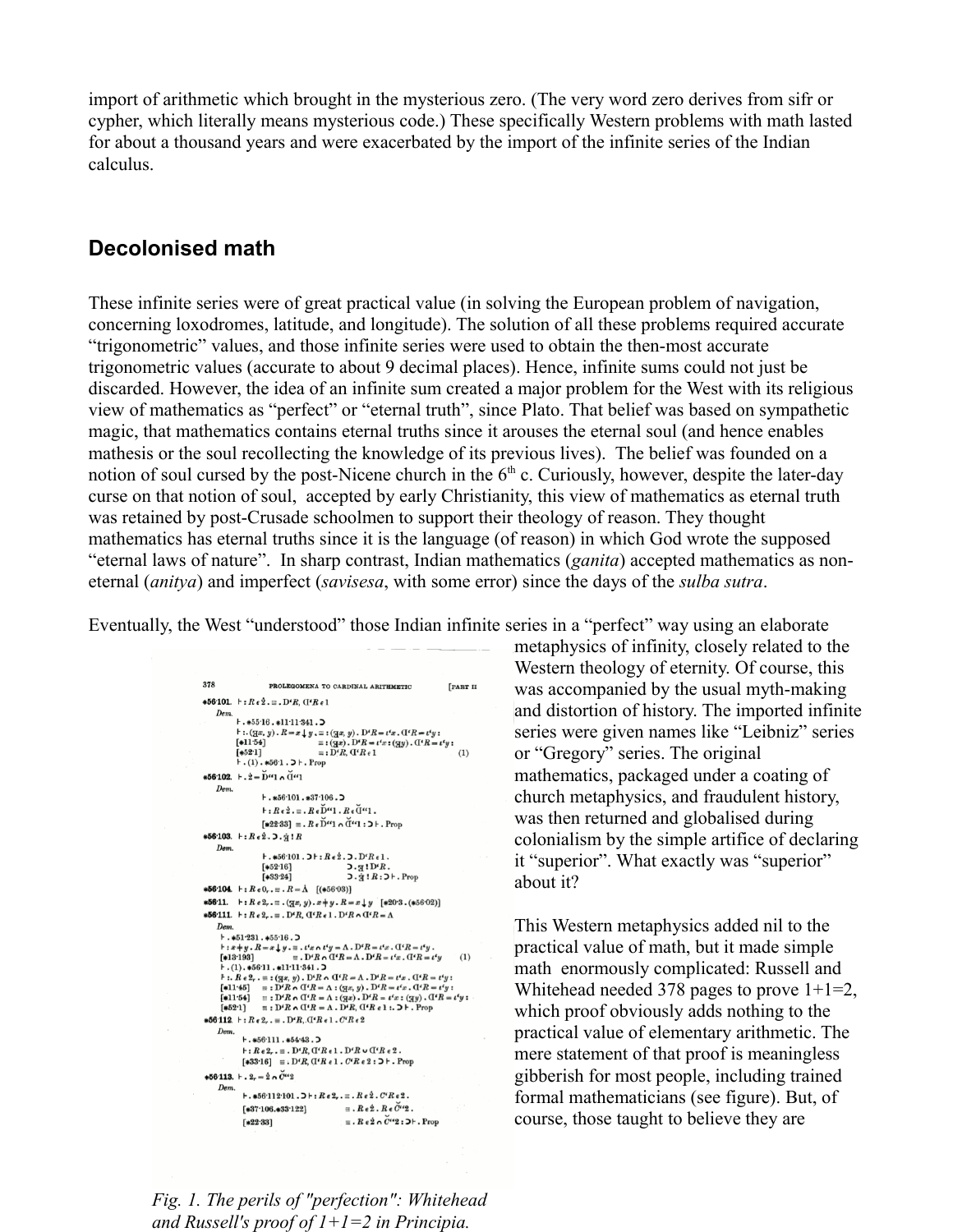import of arithmetic which brought in the mysterious zero. (The very word zero derives from sifr or cypher, which literally means mysterious code.) These specifically Western problems with math lasted for about a thousand years and were exacerbated by the import of the infinite series of the Indian calculus.

#### **Decolonised math**

These infinite series were of great practical value (in solving the European problem of navigation, concerning loxodromes, latitude, and longitude). The solution of all these problems required accurate "trigonometric" values, and those infinite series were used to obtain the then-most accurate trigonometric values (accurate to about 9 decimal places). Hence, infinite sums could not just be discarded. However, the idea of an infinite sum created a major problem for the West with its religious view of mathematics as "perfect" or "eternal truth", since Plato. That belief was based on sympathetic magic, that mathematics contains eternal truths since it arouses the eternal soul (and hence enables mathesis or the soul recollecting the knowledge of its previous lives). The belief was founded on a notion of soul cursed by the post-Nicene church in the  $6<sup>th</sup>$  c. Curiously, however, despite the later-day curse on that notion of soul, accepted by early Christianity, this view of mathematics as eternal truth was retained by post-Crusade schoolmen to support their theology of reason. They thought mathematics has eternal truths since it is the language (of reason) in which God wrote the supposed "eternal laws of nature". In sharp contrast, Indian mathematics (*ganita*) accepted mathematics as noneternal (*anitya*) and imperfect (*savisesa*, with some error) since the days of the *sulba sutra*.

Eventually, the West "understood" those Indian infinite series in a "perfect" way using an elaborate

378 PROLEGOMENA TO CARDINAL ARITHMETIC [PART II  $*56.101.$   $\vdash$  :  $R \epsilon \dot{2}$ ,  $\equiv$  ,  $D$ <sup>c</sup> $R$ ,  $(I<sup>c</sup>R$ <sub>ε</sub> 1 Dem.<br> $+.*55.16.*11.11.341.5$ <br> $+.(5x, y)$   $R-x+y=1$  $f(x,y) = x \int y = x(x, y) \cdot D^2 R = t^2 x \cdot G^2 R = t^3 y$ ;<br> $f(x) = x \int x dx$ ,  $f(x) = x \int x dx$ ,  $f(x) = x \int x dx$ ,  $f(x) = x \int x dx$ =  $(gx)$ .  $D^t R = t^t x$  :  $(gy)$ .  $D^t R = t^t y$  :<br>=  $D^t R$ ,  $D^t R = t^t x$  :  $(gy)$ .  $D^t R = t^t y$  :  $[*11.54]$  $[*113+]  
[*521] = :  
+.(1).*56.1.5+. Prop$ \*56.102.  $\mathbf{F} \cdot \dot{2} = \mathbf{D}^{\epsilon} \cdot 1 \cdot \mathbf{D}^{\epsilon} \cdot 1$  $Dem.$  $+$ .  $*56.101. *37.106.$  $F: Re\dot{2} = R \epsilon \check{D}^{\prime\prime} 1 \cdot Re \check{U}^{\prime\prime} 1$ .  $[*22.33] \equiv R \epsilon \check{D}$ "1 ^ $\check{d}$ "1 :  $D \vdash P$ . Prop \*56.103.  $F: Re\{2.5.91R$  $Dem.$  $+$ .\*56.101.2 $+$ : $Re\{2.2.2P^cRe1.$  $[*52.16]$  $5.91D'R.$ <br> $5.91R.5+Prob$  $[*33.24]$ **\*56.104.**  $\vdash$  :  $R \in 0_r$ ,  $\equiv$  .  $R = \Lambda$  [(\*56.03)] **\*56.11.**  $\mathsf{F}: R \in 2, \mathsf{F}: (\mathbb{Z}x, y) \cdot x + y \cdot R = x \downarrow y \quad [\ast 20.3 \cdot (\ast 56.02)]$ **\*56.111.**  $\vdash$  :  $R \cdot 2_r \cdot \equiv$  .  $D^t R$ ,  $\mathbf{d}^t R \cdot 1$  .  $D^t R \cap \mathbf{d}^t R = \Lambda$ Dem.<br> $+$ . \*51.231. \*55.16. D  $\therefore x+y \cdot R = x \downarrow y$ .  $\equiv .t'x \wedge t'y = \Lambda \cdot D'R = t'x \cdot G'R = t'y$ <br>
[\*13.193]  $\equiv .D'R \wedge G'R = \Lambda \cdot D'R = t'x \cdot G'R = t'y$ <br>  $\vdash .(1) \cdot *56.11 \cdot *11.11.341 \cdot >$  $(1)$  $F:(1.45) = 1.925011.481112941.$ <br>  $F: R \cdot 2, -1: (3x, y) \cdot D'R \wedge (1'R = \Lambda \cdot D'R = t'x$ ,  $(1'R = t'y;$ <br>  $[41145] = 1.9'R \wedge (1'R = \Lambda \cdot (3x, y) \cdot D'R = t'x$ ,  $(1'R = t'y;$ <br>  $[41145] = 1.9'R \wedge (1'R = \Lambda \cdot (3x), D'R = t'x;$   $(3y), (1'R = t'z;$ <br>  $[4621] = 1.9'R \wedge (1'R = \Lambda \cdot D'R, ($  $*56.112.$   $\vdash:$   $Re\ 2,$ .  $\equiv$  .  $D'R, G'R \in 1$ .  $C'R \in 2$ Dem.  $+ .*56.111.*54.43.$  $\,\vdash\colon\!R\,\epsilon\,2_{r}$  ,  $\equiv$  ,  ${\rm D}^{\epsilon}R, {\rm T}^{\epsilon}R\,\epsilon\,1$  ,  ${\rm D}^{\epsilon}R$   $\cup$   ${\rm T}^{\epsilon}R\,\epsilon\,2$  .  $[\ast 33\cdot 16] \equiv \cdot D^{\epsilon}R, \nonumber \\ {\bf (I}^{\epsilon}R\;\epsilon\; {\bf 1} \;.\; C^{\epsilon}R\;\epsilon\; {\bf 2} \;:\; {\bf 3} \vdash \;.\; {\rm Prop}$  $*56.113. + .2_r = 2 \cdot 0$   $\check{C}^{44}2$ Dem.<br>  $+ .*56 \cdot 112 \cdot 101 \cdot 3 + : R \cdot 2, . \equiv . R \cdot 2 \cdot C \cdot R \cdot 2.$  $[*37.106.*33.122]$  =  $\mathbb{R}e\stackrel{\circ}{2} \cdot \mathbb{R}e\stackrel{\circ}{2}^{\prime\prime}2$ .  $\equiv$   $\bm{R} \bm{\epsilon} \hat{\bm{2}} \bm{\wedge} \vec{C}$ <sup> $\bm{Q}$ </sup> $\bm{\epsilon}$  :  $\bm{\epsilon}$  + . Prop  $[*22.33]$ 

metaphysics of infinity, closely related to the Western theology of eternity. Of course, this was accompanied by the usual myth-making and distortion of history. The imported infinite series were given names like "Leibniz" series or "Gregory" series. The original mathematics, packaged under a coating of church metaphysics, and fraudulent history, was then returned and globalised during colonialism by the simple artifice of declaring it "superior". What exactly was "superior" about it?

This Western metaphysics added nil to the practical value of math, but it made simple math enormously complicated: Russell and Whitehead needed 378 pages to prove  $1+1=2$ , which proof obviously adds nothing to the practical value of elementary arithmetic. The mere statement of that proof is meaningless gibberish for most people, including trained formal mathematicians (see figure). But, of course, those taught to believe they are

*Fig. 1. The perils of "perfection": Whitehead and Russell's proof of 1+1=2 in Principia.*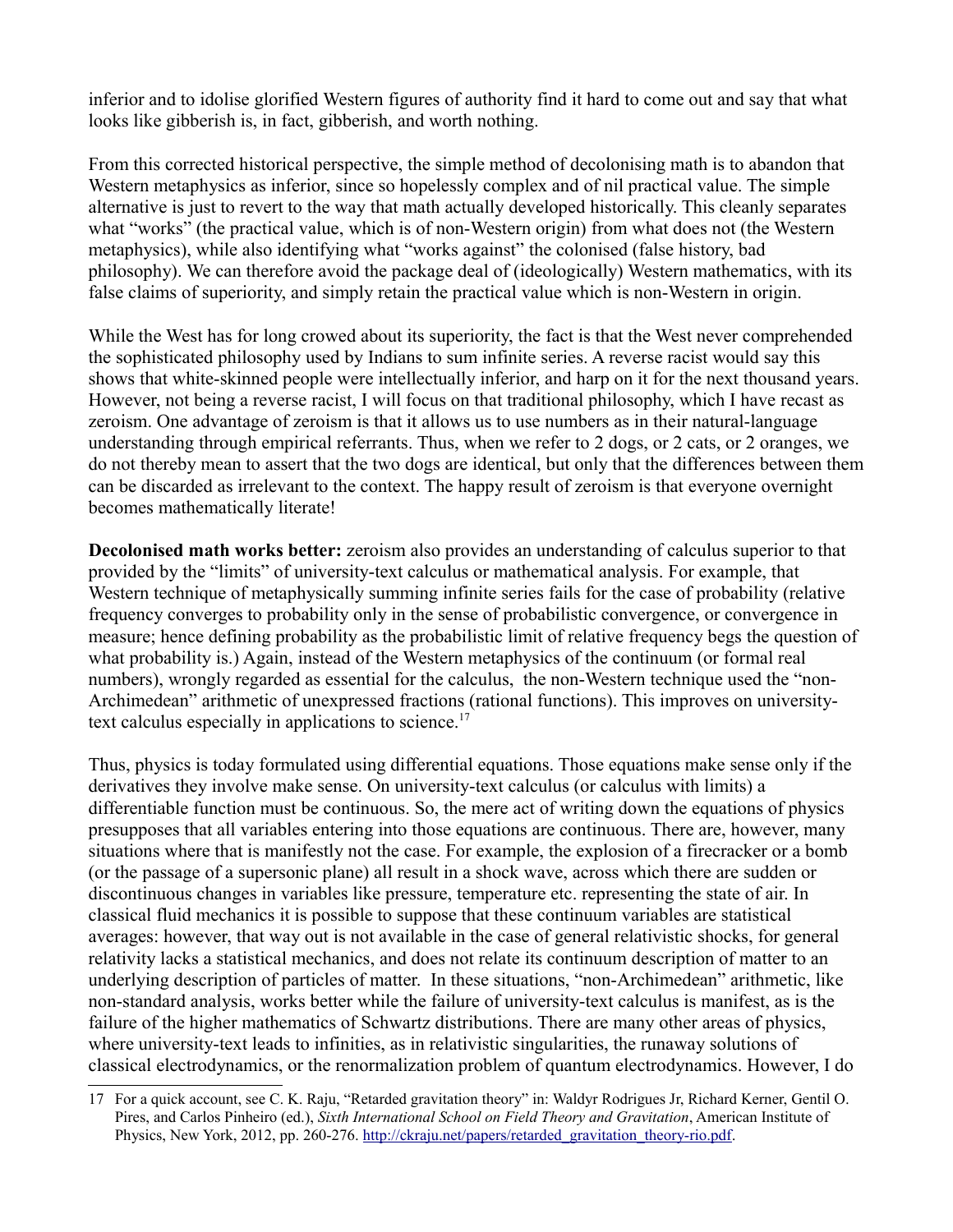inferior and to idolise glorified Western figures of authority find it hard to come out and say that what looks like gibberish is, in fact, gibberish, and worth nothing.

From this corrected historical perspective, the simple method of decolonising math is to abandon that Western metaphysics as inferior, since so hopelessly complex and of nil practical value. The simple alternative is just to revert to the way that math actually developed historically. This cleanly separates what "works" (the practical value, which is of non-Western origin) from what does not (the Western metaphysics), while also identifying what "works against" the colonised (false history, bad philosophy). We can therefore avoid the package deal of (ideologically) Western mathematics, with its false claims of superiority, and simply retain the practical value which is non-Western in origin.

While the West has for long crowed about its superiority, the fact is that the West never comprehended the sophisticated philosophy used by Indians to sum infinite series. A reverse racist would say this shows that white-skinned people were intellectually inferior, and harp on it for the next thousand years. However, not being a reverse racist, I will focus on that traditional philosophy, which I have recast as zeroism. One advantage of zeroism is that it allows us to use numbers as in their natural-language understanding through empirical referrants. Thus, when we refer to 2 dogs, or 2 cats, or 2 oranges, we do not thereby mean to assert that the two dogs are identical, but only that the differences between them can be discarded as irrelevant to the context. The happy result of zeroism is that everyone overnight becomes mathematically literate!

**Decolonised math works better:** zeroism also provides an understanding of calculus superior to that provided by the "limits" of university-text calculus or mathematical analysis. For example, that Western technique of metaphysically summing infinite series fails for the case of probability (relative frequency converges to probability only in the sense of probabilistic convergence, or convergence in measure; hence defining probability as the probabilistic limit of relative frequency begs the question of what probability is.) Again, instead of the Western metaphysics of the continuum (or formal real numbers), wrongly regarded as essential for the calculus, the non-Western technique used the "non-Archimedean" arithmetic of unexpressed fractions (rational functions). This improves on university-text calculus especially in applications to science.<sup>[17](#page-7-0)</sup>

Thus, physics is today formulated using differential equations. Those equations make sense only if the derivatives they involve make sense. On university-text calculus (or calculus with limits) a differentiable function must be continuous. So, the mere act of writing down the equations of physics presupposes that all variables entering into those equations are continuous. There are, however, many situations where that is manifestly not the case. For example, the explosion of a firecracker or a bomb (or the passage of a supersonic plane) all result in a shock wave, across which there are sudden or discontinuous changes in variables like pressure, temperature etc. representing the state of air. In classical fluid mechanics it is possible to suppose that these continuum variables are statistical averages: however, that way out is not available in the case of general relativistic shocks, for general relativity lacks a statistical mechanics, and does not relate its continuum description of matter to an underlying description of particles of matter. In these situations, "non-Archimedean" arithmetic, like non-standard analysis, works better while the failure of university-text calculus is manifest, as is the failure of the higher mathematics of Schwartz distributions. There are many other areas of physics, where university-text leads to infinities, as in relativistic singularities, the runaway solutions of classical electrodynamics, or the renormalization problem of quantum electrodynamics. However, I do

<span id="page-7-0"></span><sup>17</sup> For a quick account, see C. K. Raju, "Retarded gravitation theory" in: Waldyr Rodrigues Jr, Richard Kerner, Gentil O. Pires, and Carlos Pinheiro (ed.), *Sixth International School on Field Theory and Gravitation*, American Institute of Physics, New York, 2012, pp. 260-276. [http://ckraju.net/papers/retarded\\_gravitation\\_theory-rio.pdf.](http://ckraju.net/papers/retarded_gravitation_theory-rio.pdf)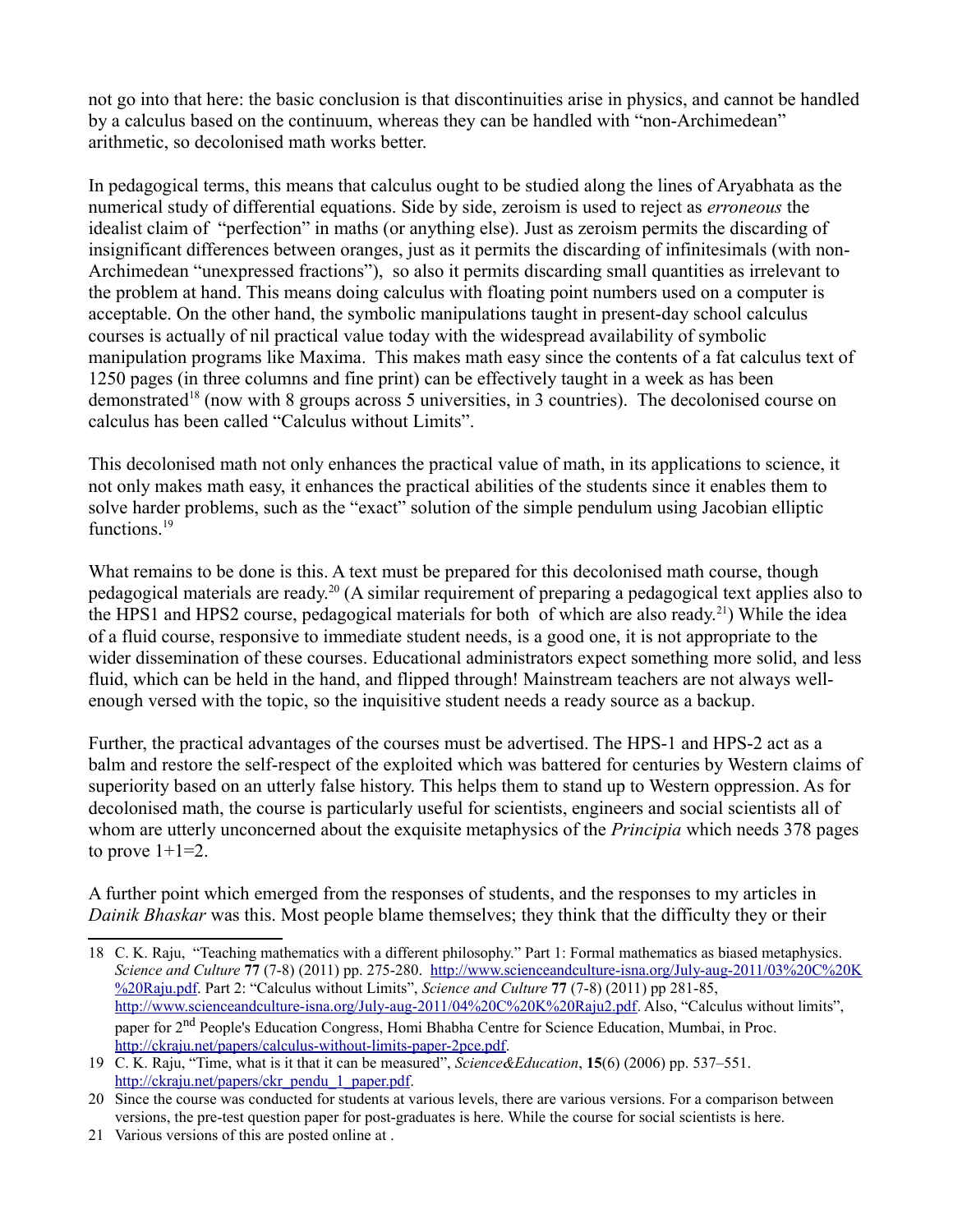not go into that here: the basic conclusion is that discontinuities arise in physics, and cannot be handled by a calculus based on the continuum, whereas they can be handled with "non-Archimedean" arithmetic, so decolonised math works better.

In pedagogical terms, this means that calculus ought to be studied along the lines of Aryabhata as the numerical study of differential equations. Side by side, zeroism is used to reject as *erroneous* the idealist claim of "perfection" in maths (or anything else). Just as zeroism permits the discarding of insignificant differences between oranges, just as it permits the discarding of infinitesimals (with non-Archimedean "unexpressed fractions"), so also it permits discarding small quantities as irrelevant to the problem at hand. This means doing calculus with floating point numbers used on a computer is acceptable. On the other hand, the symbolic manipulations taught in present-day school calculus courses is actually of nil practical value today with the widespread availability of symbolic manipulation programs like Maxima. This makes math easy since the contents of a fat calculus text of 1250 pages (in three columns and fine print) can be effectively taught in a week as has been demonstrated<sup>[18](#page-8-0)</sup> (now with 8 groups across 5 universities, in 3 countries). The decolonised course on calculus has been called "Calculus without Limits".

This decolonised math not only enhances the practical value of math, in its applications to science, it not only makes math easy, it enhances the practical abilities of the students since it enables them to solve harder problems, such as the "exact" solution of the simple pendulum using Jacobian elliptic functions.<sup>[19](#page-8-1)</sup>

What remains to be done is this. A text must be prepared for this decolonised math course, though pedagogical materials are ready.[20](#page-8-2) (A similar requirement of preparing a pedagogical text applies also to the HPS1 and HPS2 course, pedagogical materials for both of which are also ready.[21](#page-8-3)) While the idea of a fluid course, responsive to immediate student needs, is a good one, it is not appropriate to the wider dissemination of these courses. Educational administrators expect something more solid, and less fluid, which can be held in the hand, and flipped through! Mainstream teachers are not always wellenough versed with the topic, so the inquisitive student needs a ready source as a backup.

Further, the practical advantages of the courses must be advertised. The HPS-1 and HPS-2 act as a balm and restore the self-respect of the exploited which was battered for centuries by Western claims of superiority based on an utterly false history. This helps them to stand up to Western oppression. As for decolonised math, the course is particularly useful for scientists, engineers and social scientists all of whom are utterly unconcerned about the exquisite metaphysics of the *Principia* which needs 378 pages to prove  $1+1=2$ .

A further point which emerged from the responses of students, and the responses to my articles in *Dainik Bhaskar* was this. Most people blame themselves; they think that the difficulty they or their

<span id="page-8-0"></span><sup>18</sup> C. K. Raju, "Teaching mathematics with a different philosophy." Part 1: Formal mathematics as biased metaphysics. *Science and Culture* **77** (7-8) (2011) pp. 275-280. [http://www.scienceandculture-isna.org/July-aug-2011/03%20C%20K](http://www.scienceandculture-isna.org/July-aug-2011/03%20C%20K%20Raju.pdf) [%20Raju.pdf.](http://www.scienceandculture-isna.org/July-aug-2011/03%20C%20K%20Raju.pdf) Part 2: "Calculus without Limits", *Science and Culture* **77** (7-8) (2011) pp 281-85, [http://www.scienceandculture-isna.org/July-aug-2011/04%20C%20K%20Raju2.pdf.](http://www.scienceandculture-isna.org/July-aug-2011/04%20C%20K%20Raju2.pdf) Also, "Calculus without limits", paper for 2<sup>nd</sup> People's Education Congress, Homi Bhabha Centre for Science Education, Mumbai, in Proc. [http://ckraju.net/papers/calculus-without-limits-paper-2pce.pdf.](http://ckraju.net/papers/calculus-without-limits-paper-2pce.pdf)

<span id="page-8-1"></span><sup>19</sup> C. K. Raju, "Time, what is it that it can be measured", *Science&Education*, **15**(6) (2006) pp. 537–551. [http://ckraju.net/papers/ckr\\_pendu\\_1\\_paper.pdf.](http://ckraju.net/papers/ckr_pendu_1_paper.pdf)

<span id="page-8-2"></span><sup>20</sup> Since the course was conducted for students at various levels, there are various versions. For a comparison between versions, the pre-test question paper for post-graduates is here. While the course for social scientists is here.

<span id="page-8-3"></span><sup>21</sup> Various versions of this are posted online at .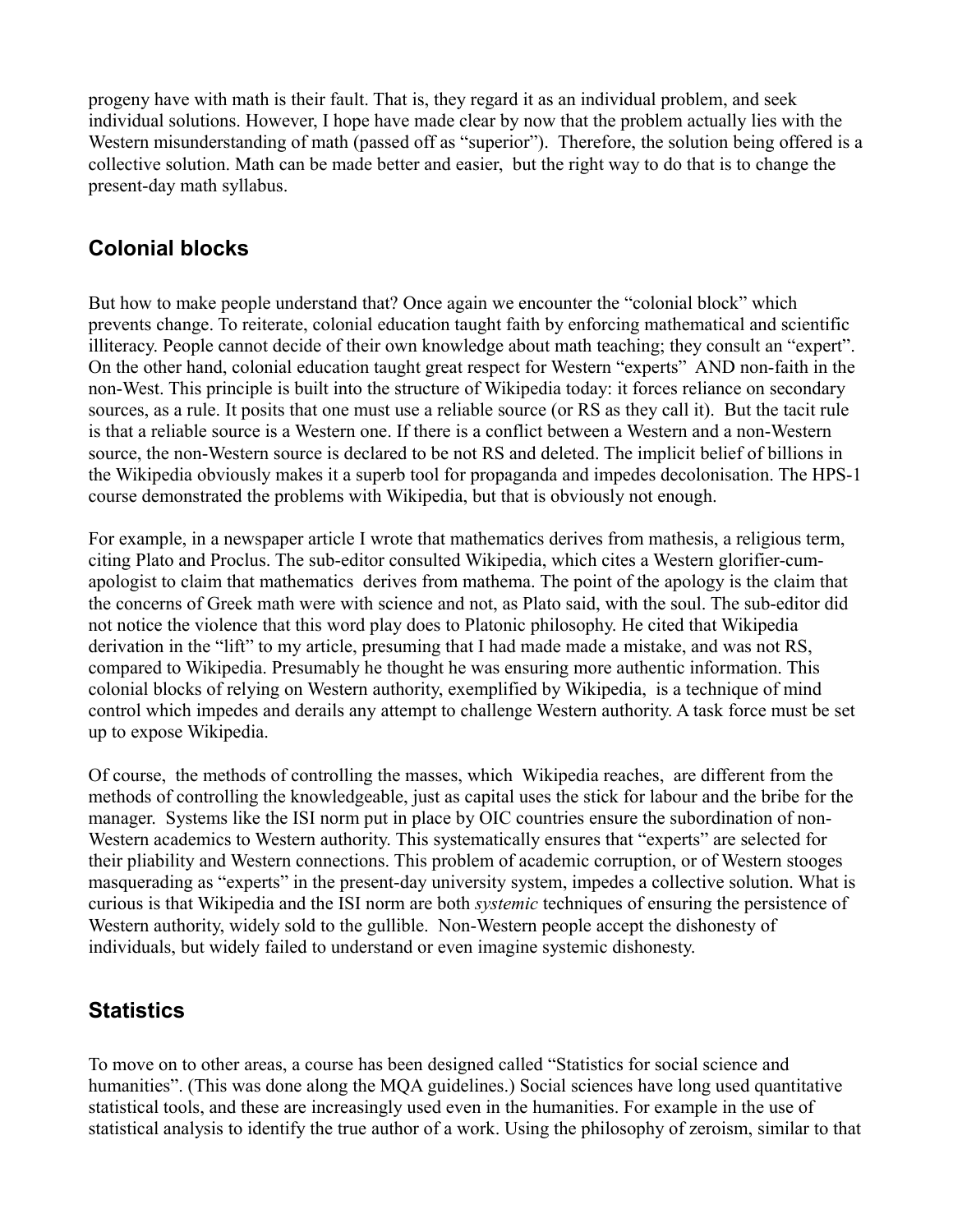progeny have with math is their fault. That is, they regard it as an individual problem, and seek individual solutions. However, I hope have made clear by now that the problem actually lies with the Western misunderstanding of math (passed off as "superior"). Therefore, the solution being offered is a collective solution. Math can be made better and easier, but the right way to do that is to change the present-day math syllabus.

#### **Colonial blocks**

But how to make people understand that? Once again we encounter the "colonial block" which prevents change. To reiterate, colonial education taught faith by enforcing mathematical and scientific illiteracy. People cannot decide of their own knowledge about math teaching; they consult an "expert". On the other hand, colonial education taught great respect for Western "experts" AND non-faith in the non-West. This principle is built into the structure of Wikipedia today: it forces reliance on secondary sources, as a rule. It posits that one must use a reliable source (or RS as they call it). But the tacit rule is that a reliable source is a Western one. If there is a conflict between a Western and a non-Western source, the non-Western source is declared to be not RS and deleted. The implicit belief of billions in the Wikipedia obviously makes it a superb tool for propaganda and impedes decolonisation. The HPS-1 course demonstrated the problems with Wikipedia, but that is obviously not enough.

For example, in a newspaper article I wrote that mathematics derives from mathesis, a religious term, citing Plato and Proclus. The sub-editor consulted Wikipedia, which cites a Western glorifier-cumapologist to claim that mathematics derives from mathema. The point of the apology is the claim that the concerns of Greek math were with science and not, as Plato said, with the soul. The sub-editor did not notice the violence that this word play does to Platonic philosophy. He cited that Wikipedia derivation in the "lift" to my article, presuming that I had made made a mistake, and was not RS, compared to Wikipedia. Presumably he thought he was ensuring more authentic information. This colonial blocks of relying on Western authority, exemplified by Wikipedia, is a technique of mind control which impedes and derails any attempt to challenge Western authority. A task force must be set up to expose Wikipedia.

Of course, the methods of controlling the masses, which Wikipedia reaches, are different from the methods of controlling the knowledgeable, just as capital uses the stick for labour and the bribe for the manager. Systems like the ISI norm put in place by OIC countries ensure the subordination of non-Western academics to Western authority. This systematically ensures that "experts" are selected for their pliability and Western connections. This problem of academic corruption, or of Western stooges masquerading as "experts" in the present-day university system, impedes a collective solution. What is curious is that Wikipedia and the ISI norm are both *systemic* techniques of ensuring the persistence of Western authority, widely sold to the gullible. Non-Western people accept the dishonesty of individuals, but widely failed to understand or even imagine systemic dishonesty.

#### **Statistics**

To move on to other areas, a course has been designed called "Statistics for social science and humanities". (This was done along the MQA guidelines.) Social sciences have long used quantitative statistical tools, and these are increasingly used even in the humanities. For example in the use of statistical analysis to identify the true author of a work. Using the philosophy of zeroism, similar to that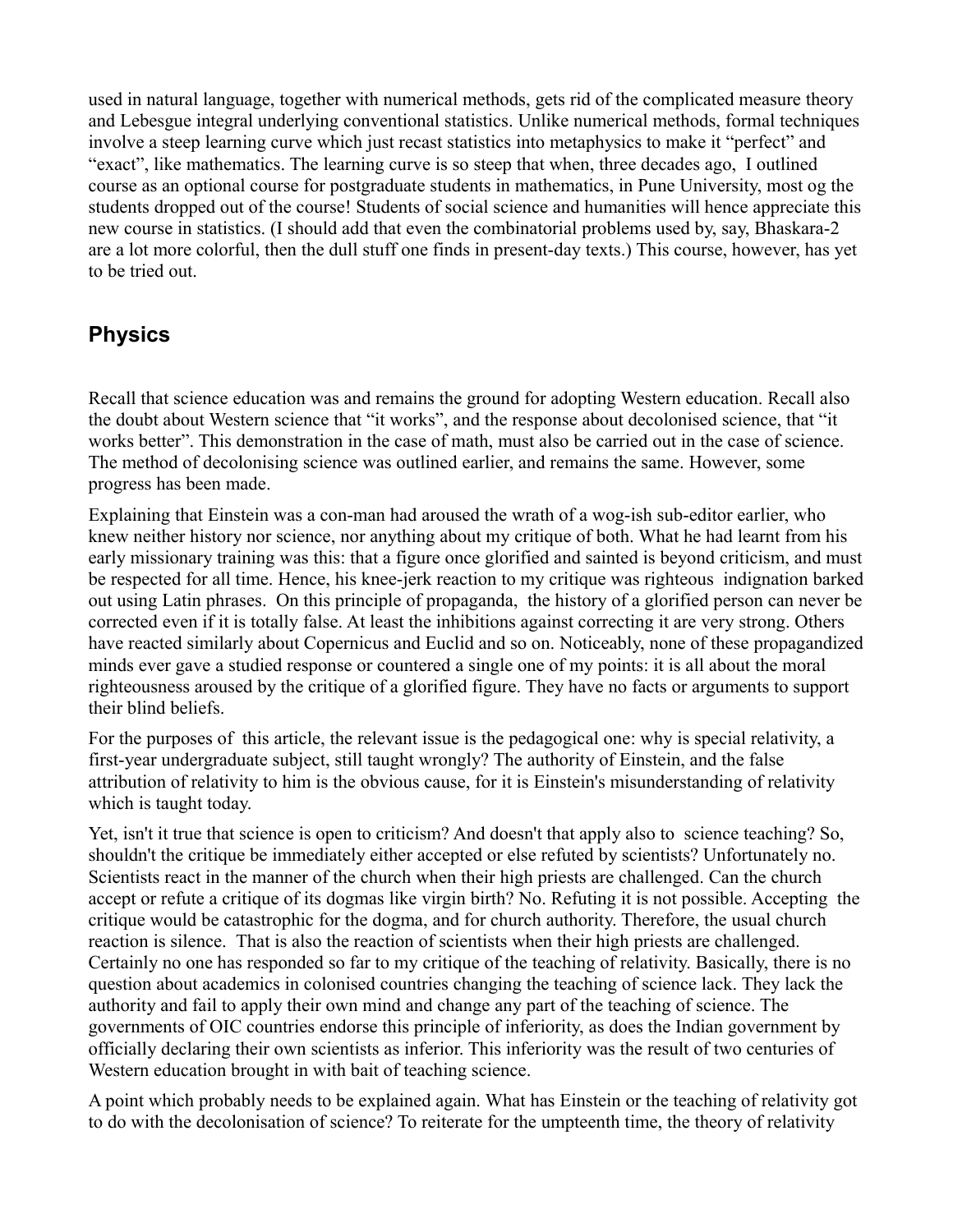used in natural language, together with numerical methods, gets rid of the complicated measure theory and Lebesgue integral underlying conventional statistics. Unlike numerical methods, formal techniques involve a steep learning curve which just recast statistics into metaphysics to make it "perfect" and "exact", like mathematics. The learning curve is so steep that when, three decades ago, I outlined course as an optional course for postgraduate students in mathematics, in Pune University, most og the students dropped out of the course! Students of social science and humanities will hence appreciate this new course in statistics. (I should add that even the combinatorial problems used by, say, Bhaskara-2 are a lot more colorful, then the dull stuff one finds in present-day texts.) This course, however, has yet to be tried out.

#### **Physics**

Recall that science education was and remains the ground for adopting Western education. Recall also the doubt about Western science that "it works", and the response about decolonised science, that "it works better". This demonstration in the case of math, must also be carried out in the case of science. The method of decolonising science was outlined earlier, and remains the same. However, some progress has been made.

Explaining that Einstein was a con-man had aroused the wrath of a wog-ish sub-editor earlier, who knew neither history nor science, nor anything about my critique of both. What he had learnt from his early missionary training was this: that a figure once glorified and sainted is beyond criticism, and must be respected for all time. Hence, his knee-jerk reaction to my critique was righteous indignation barked out using Latin phrases. On this principle of propaganda, the history of a glorified person can never be corrected even if it is totally false. At least the inhibitions against correcting it are very strong. Others have reacted similarly about Copernicus and Euclid and so on. Noticeably, none of these propagandized minds ever gave a studied response or countered a single one of my points: it is all about the moral righteousness aroused by the critique of a glorified figure. They have no facts or arguments to support their blind beliefs.

For the purposes of this article, the relevant issue is the pedagogical one: why is special relativity, a first-year undergraduate subject, still taught wrongly? The authority of Einstein, and the false attribution of relativity to him is the obvious cause, for it is Einstein's misunderstanding of relativity which is taught today.

Yet, isn't it true that science is open to criticism? And doesn't that apply also to science teaching? So, shouldn't the critique be immediately either accepted or else refuted by scientists? Unfortunately no. Scientists react in the manner of the church when their high priests are challenged. Can the church accept or refute a critique of its dogmas like virgin birth? No. Refuting it is not possible. Accepting the critique would be catastrophic for the dogma, and for church authority. Therefore, the usual church reaction is silence. That is also the reaction of scientists when their high priests are challenged. Certainly no one has responded so far to my critique of the teaching of relativity. Basically, there is no question about academics in colonised countries changing the teaching of science lack. They lack the authority and fail to apply their own mind and change any part of the teaching of science. The governments of OIC countries endorse this principle of inferiority, as does the Indian government by officially declaring their own scientists as inferior. This inferiority was the result of two centuries of Western education brought in with bait of teaching science.

A point which probably needs to be explained again. What has Einstein or the teaching of relativity got to do with the decolonisation of science? To reiterate for the umpteenth time, the theory of relativity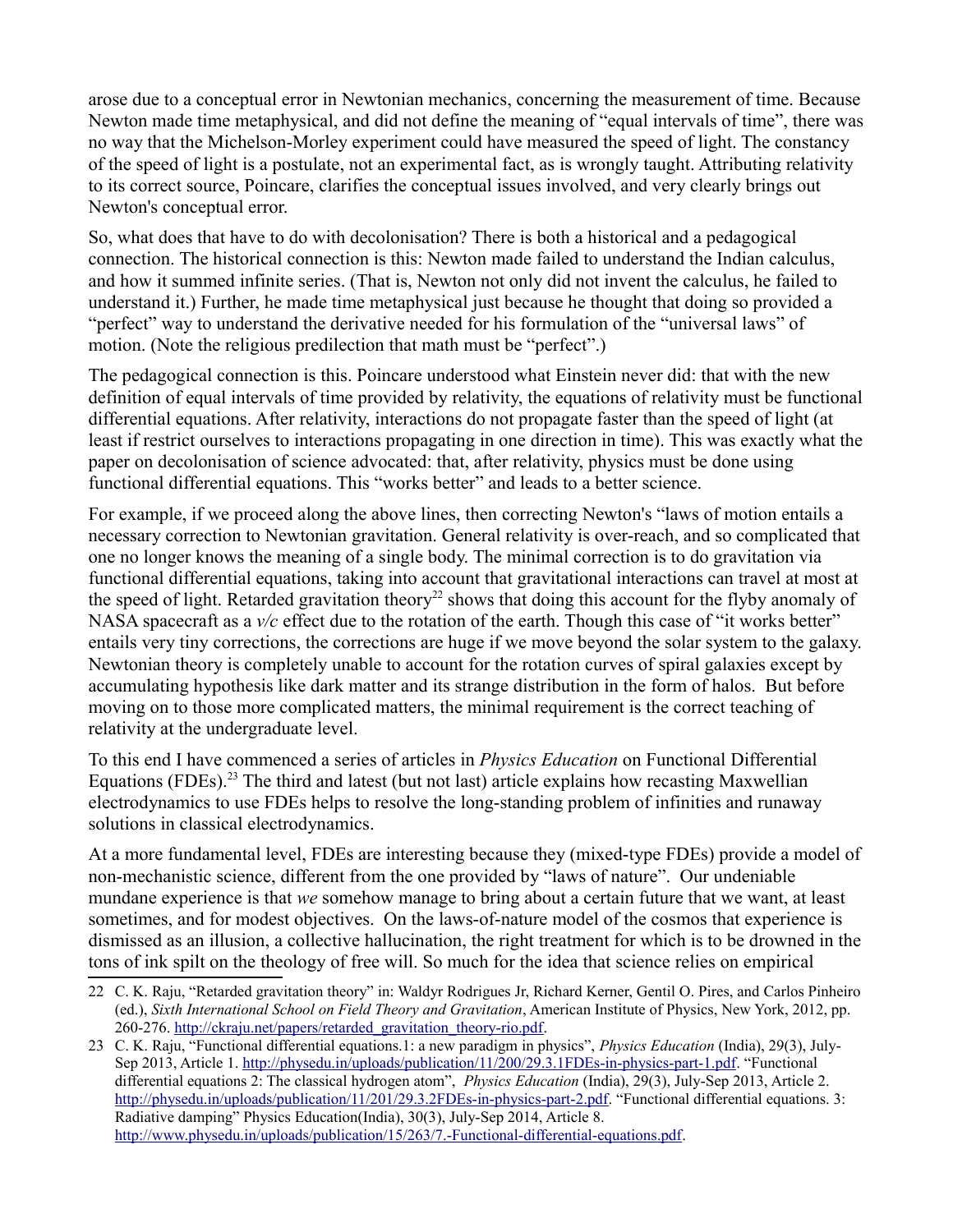arose due to a conceptual error in Newtonian mechanics, concerning the measurement of time. Because Newton made time metaphysical, and did not define the meaning of "equal intervals of time", there was no way that the Michelson-Morley experiment could have measured the speed of light. The constancy of the speed of light is a postulate, not an experimental fact, as is wrongly taught. Attributing relativity to its correct source, Poincare, clarifies the conceptual issues involved, and very clearly brings out Newton's conceptual error.

So, what does that have to do with decolonisation? There is both a historical and a pedagogical connection. The historical connection is this: Newton made failed to understand the Indian calculus, and how it summed infinite series. (That is, Newton not only did not invent the calculus, he failed to understand it.) Further, he made time metaphysical just because he thought that doing so provided a "perfect" way to understand the derivative needed for his formulation of the "universal laws" of motion. (Note the religious predilection that math must be "perfect".)

The pedagogical connection is this. Poincare understood what Einstein never did: that with the new definition of equal intervals of time provided by relativity, the equations of relativity must be functional differential equations. After relativity, interactions do not propagate faster than the speed of light (at least if restrict ourselves to interactions propagating in one direction in time). This was exactly what the paper on decolonisation of science advocated: that, after relativity, physics must be done using functional differential equations. This "works better" and leads to a better science.

For example, if we proceed along the above lines, then correcting Newton's "laws of motion entails a necessary correction to Newtonian gravitation. General relativity is over-reach, and so complicated that one no longer knows the meaning of a single body. The minimal correction is to do gravitation via functional differential equations, taking into account that gravitational interactions can travel at most at the speed of light. Retarded gravitation theory<sup>[22](#page-11-0)</sup> shows that doing this account for the flyby anomaly of NASA spacecraft as a  $v/c$  effect due to the rotation of the earth. Though this case of "it works better" entails very tiny corrections, the corrections are huge if we move beyond the solar system to the galaxy. Newtonian theory is completely unable to account for the rotation curves of spiral galaxies except by accumulating hypothesis like dark matter and its strange distribution in the form of halos. But before moving on to those more complicated matters, the minimal requirement is the correct teaching of relativity at the undergraduate level.

To this end I have commenced a series of articles in *Physics Education* on Functional Differential Equations (FDEs).<sup>[23](#page-11-1)</sup> The third and latest (but not last) article explains how recasting Maxwellian electrodynamics to use FDEs helps to resolve the long-standing problem of infinities and runaway solutions in classical electrodynamics.

At a more fundamental level, FDEs are interesting because they (mixed-type FDEs) provide a model of non-mechanistic science, different from the one provided by "laws of nature". Our undeniable mundane experience is that *we* somehow manage to bring about a certain future that we want, at least sometimes, and for modest objectives. On the laws-of-nature model of the cosmos that experience is dismissed as an illusion, a collective hallucination, the right treatment for which is to be drowned in the tons of ink spilt on the theology of free will. So much for the idea that science relies on empirical

<span id="page-11-0"></span><sup>22</sup> C. K. Raju, "Retarded gravitation theory" in: Waldyr Rodrigues Jr, Richard Kerner, Gentil O. Pires, and Carlos Pinheiro (ed.), *Sixth International School on Field Theory and Gravitation*, American Institute of Physics, New York, 2012, pp. 260-276. [http://ckraju.net/papers/retarded\\_gravitation\\_theory-rio.pdf.](http://ckraju.net/papers/retarded_gravitation_theory-rio.pdf)

<span id="page-11-1"></span><sup>23</sup> C. K. Raju, "Functional differential equations.1: a new paradigm in physics", *Physics Education* (India), 29(3), July-Sep 2013, Article 1. [http://physedu.in/uploads/publication/11/200/29.3.1FDEs-in-physics-part-1.pdf.](http://physedu.in/uploads/publication/11/200/29.3.1FDEs-in-physics-part-1.pdf) "Functional differential equations 2: The classical hydrogen atom", *Physics Education* (India), 29(3), July-Sep 2013, Article 2. [http://physedu.in/uploads/publication/11/201/29.3.2FDEs-in-physics-part-2.pdf.](http://physedu.in/uploads/publication/11/201/29.3.2FDEs-in-physics-part-2.pdf) "Functional differential equations. 3: Radiative damping" Physics Education(India), 30(3), July-Sep 2014, Article 8. [http://www.physedu.in/uploads/publication/15/263/7.-Functional-differential-equations.pdf.](http://www.physedu.in/uploads/publication/15/263/7.-Functional-differential-equations.pdf)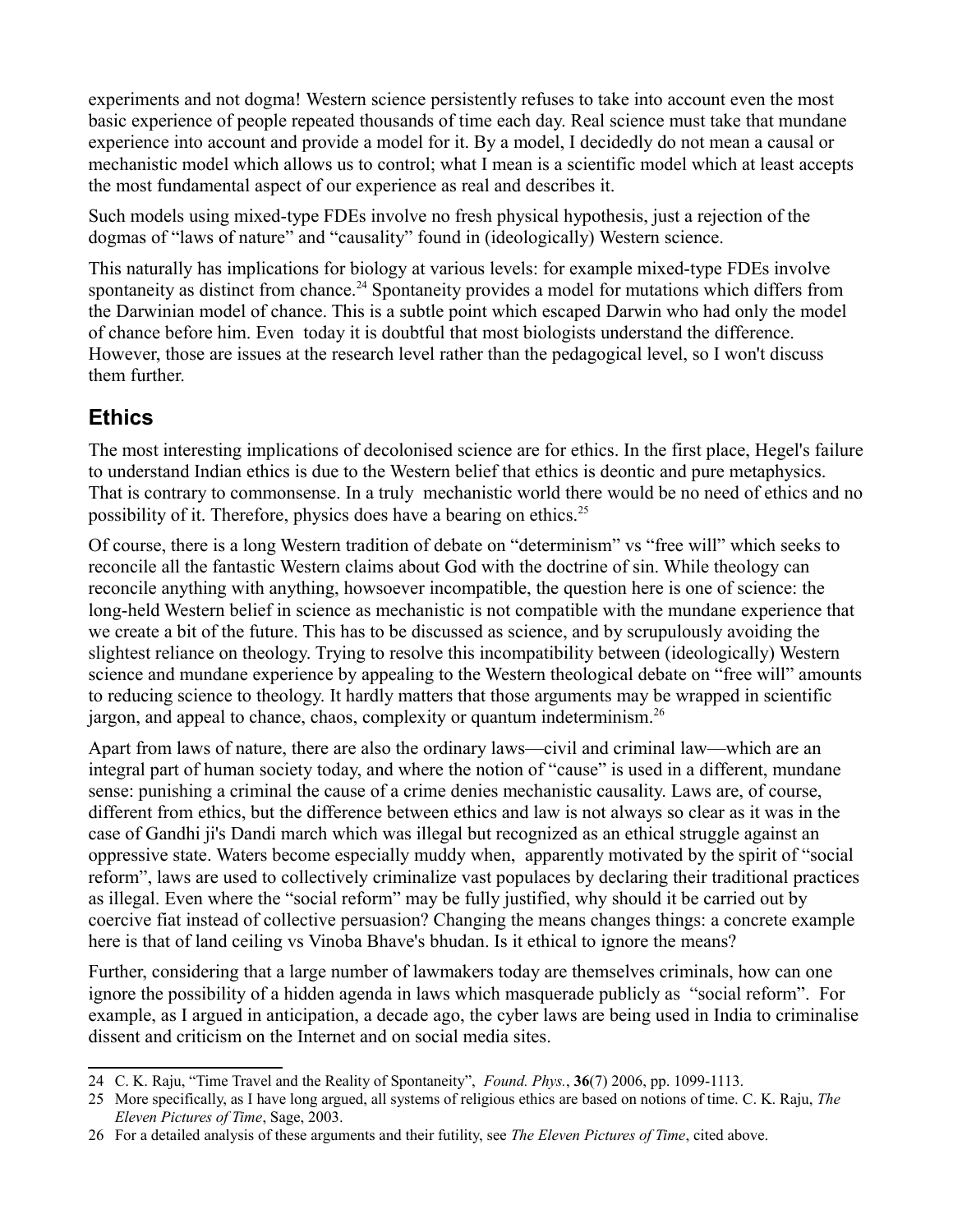experiments and not dogma! Western science persistently refuses to take into account even the most basic experience of people repeated thousands of time each day. Real science must take that mundane experience into account and provide a model for it. By a model, I decidedly do not mean a causal or mechanistic model which allows us to control; what I mean is a scientific model which at least accepts the most fundamental aspect of our experience as real and describes it.

Such models using mixed-type FDEs involve no fresh physical hypothesis, just a rejection of the dogmas of "laws of nature" and "causality" found in (ideologically) Western science.

This naturally has implications for biology at various levels: for example mixed-type FDEs involve spontaneity as distinct from chance.<sup>[24](#page-12-0)</sup> Spontaneity provides a model for mutations which differs from the Darwinian model of chance. This is a subtle point which escaped Darwin who had only the model of chance before him. Even today it is doubtful that most biologists understand the difference. However, those are issues at the research level rather than the pedagogical level, so I won't discuss them further.

### **Ethics**

The most interesting implications of decolonised science are for ethics. In the first place, Hegel's failure to understand Indian ethics is due to the Western belief that ethics is deontic and pure metaphysics. That is contrary to commonsense. In a truly mechanistic world there would be no need of ethics and no possibility of it. Therefore, physics does have a bearing on ethics.[25](#page-12-1)

Of course, there is a long Western tradition of debate on "determinism" vs "free will" which seeks to reconcile all the fantastic Western claims about God with the doctrine of sin. While theology can reconcile anything with anything, howsoever incompatible, the question here is one of science: the long-held Western belief in science as mechanistic is not compatible with the mundane experience that we create a bit of the future. This has to be discussed as science, and by scrupulously avoiding the slightest reliance on theology. Trying to resolve this incompatibility between (ideologically) Western science and mundane experience by appealing to the Western theological debate on "free will" amounts to reducing science to theology. It hardly matters that those arguments may be wrapped in scientific jargon, and appeal to chance, chaos, complexity or quantum indeterminism.[26](#page-12-2)

Apart from laws of nature, there are also the ordinary laws—civil and criminal law—which are an integral part of human society today, and where the notion of "cause" is used in a different, mundane sense: punishing a criminal the cause of a crime denies mechanistic causality. Laws are, of course, different from ethics, but the difference between ethics and law is not always so clear as it was in the case of Gandhi ji's Dandi march which was illegal but recognized as an ethical struggle against an oppressive state. Waters become especially muddy when, apparently motivated by the spirit of "social reform", laws are used to collectively criminalize vast populaces by declaring their traditional practices as illegal. Even where the "social reform" may be fully justified, why should it be carried out by coercive fiat instead of collective persuasion? Changing the means changes things: a concrete example here is that of land ceiling vs Vinoba Bhave's bhudan. Is it ethical to ignore the means?

Further, considering that a large number of lawmakers today are themselves criminals, how can one ignore the possibility of a hidden agenda in laws which masquerade publicly as "social reform". For example, as I argued in anticipation, a decade ago, the cyber laws are being used in India to criminalise dissent and criticism on the Internet and on social media sites.

<span id="page-12-0"></span><sup>24</sup> C. K. Raju, "Time Travel and the Reality of Spontaneity", *Found. Phys.*, **36**(7) 2006, pp. 1099-1113.

<span id="page-12-1"></span><sup>25</sup> More specifically, as I have long argued, all systems of religious ethics are based on notions of time. C. K. Raju, *The Eleven Pictures of Time*, Sage, 2003.

<span id="page-12-2"></span><sup>26</sup> For a detailed analysis of these arguments and their futility, see *The Eleven Pictures of Time*, cited above.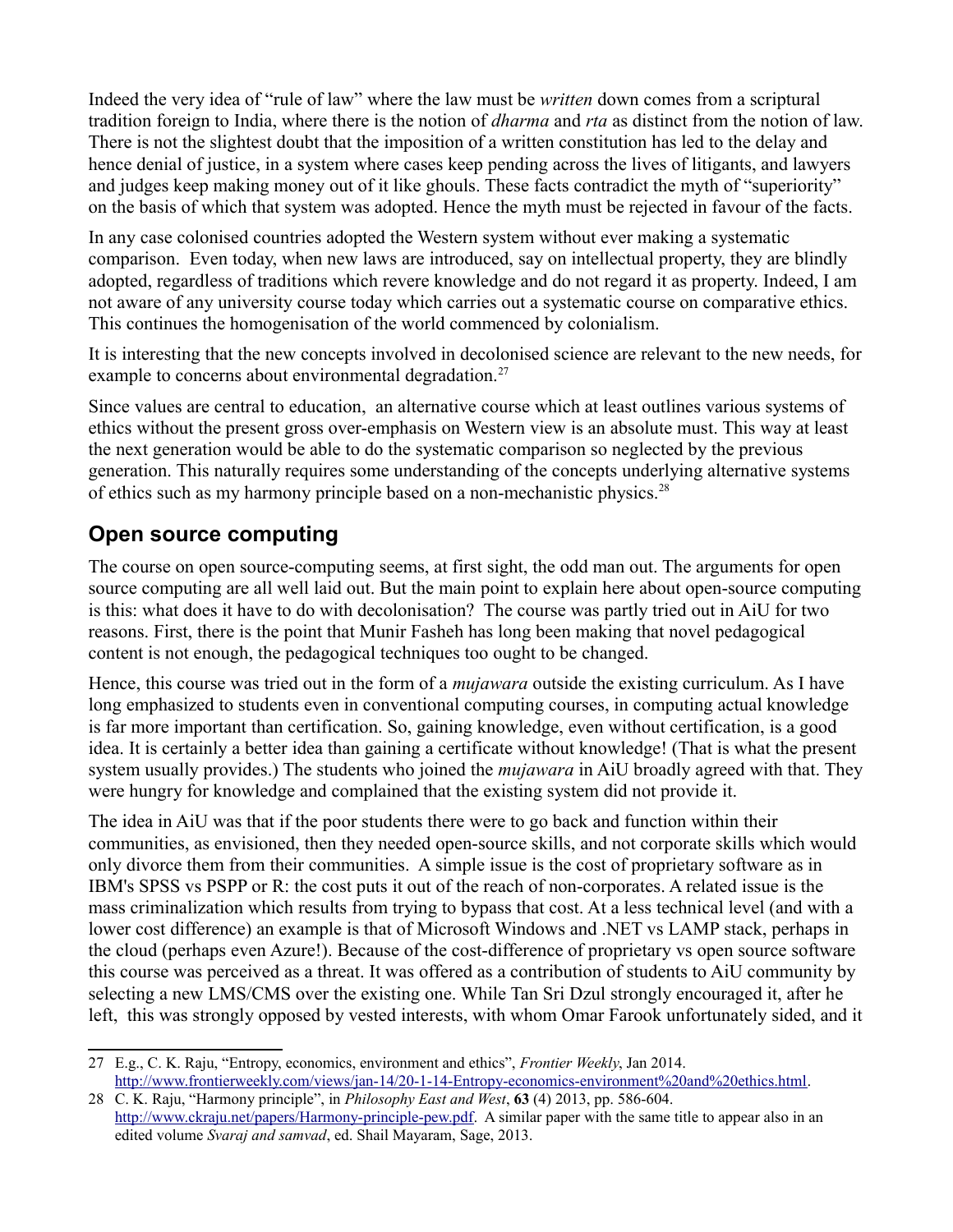Indeed the very idea of "rule of law" where the law must be *written* down comes from a scriptural tradition foreign to India, where there is the notion of *dharma* and *rta* as distinct from the notion of law. There is not the slightest doubt that the imposition of a written constitution has led to the delay and hence denial of justice, in a system where cases keep pending across the lives of litigants, and lawyers and judges keep making money out of it like ghouls. These facts contradict the myth of "superiority" on the basis of which that system was adopted. Hence the myth must be rejected in favour of the facts.

In any case colonised countries adopted the Western system without ever making a systematic comparison. Even today, when new laws are introduced, say on intellectual property, they are blindly adopted, regardless of traditions which revere knowledge and do not regard it as property. Indeed, I am not aware of any university course today which carries out a systematic course on comparative ethics. This continues the homogenisation of the world commenced by colonialism.

It is interesting that the new concepts involved in decolonised science are relevant to the new needs, for example to concerns about environmental degradation.<sup>[27](#page-13-0)</sup>

Since values are central to education, an alternative course which at least outlines various systems of ethics without the present gross over-emphasis on Western view is an absolute must. This way at least the next generation would be able to do the systematic comparison so neglected by the previous generation. This naturally requires some understanding of the concepts underlying alternative systems of ethics such as my harmony principle based on a non-mechanistic physics.<sup>[28](#page-13-1)</sup>

## **Open source computing**

The course on open source-computing seems, at first sight, the odd man out. The arguments for open source computing are all well laid out. But the main point to explain here about open-source computing is this: what does it have to do with decolonisation? The course was partly tried out in AiU for two reasons. First, there is the point that Munir Fasheh has long been making that novel pedagogical content is not enough, the pedagogical techniques too ought to be changed.

Hence, this course was tried out in the form of a *mujawara* outside the existing curriculum. As I have long emphasized to students even in conventional computing courses, in computing actual knowledge is far more important than certification. So, gaining knowledge, even without certification, is a good idea. It is certainly a better idea than gaining a certificate without knowledge! (That is what the present system usually provides.) The students who joined the *mujawara* in AiU broadly agreed with that. They were hungry for knowledge and complained that the existing system did not provide it.

The idea in AiU was that if the poor students there were to go back and function within their communities, as envisioned, then they needed open-source skills, and not corporate skills which would only divorce them from their communities. A simple issue is the cost of proprietary software as in IBM's SPSS vs PSPP or R: the cost puts it out of the reach of non-corporates. A related issue is the mass criminalization which results from trying to bypass that cost. At a less technical level (and with a lower cost difference) an example is that of Microsoft Windows and .NET vs LAMP stack, perhaps in the cloud (perhaps even Azure!). Because of the cost-difference of proprietary vs open source software this course was perceived as a threat. It was offered as a contribution of students to AiU community by selecting a new LMS/CMS over the existing one. While Tan Sri Dzul strongly encouraged it, after he left, this was strongly opposed by vested interests, with whom Omar Farook unfortunately sided, and it

<span id="page-13-0"></span><sup>27</sup> E.g., C. K. Raju, "Entropy, economics, environment and ethics", *Frontier Weekly*, Jan 2014. [http://www.frontierweekly.com/views/jan-14/20-1-14-Entropy-economics-environment%20and%20ethics.html.](http://www.frontierweekly.com/views/jan-14/20-1-14-Entropy-economics-environment%20and%20ethics.html)

<span id="page-13-1"></span><sup>28</sup> C. K. Raju, "Harmony principle", in *Philosophy East and West*, **63** (4) 2013, pp. 586-604. [http://www.ckraju.net/papers/Harmony-principle-pew.pdf.](http://www.ckraju.net/papers/Harmony-principle-pew.pdf) A similar paper with the same title to appear also in an edited volume *Svaraj and samvad*, ed. Shail Mayaram, Sage, 2013.